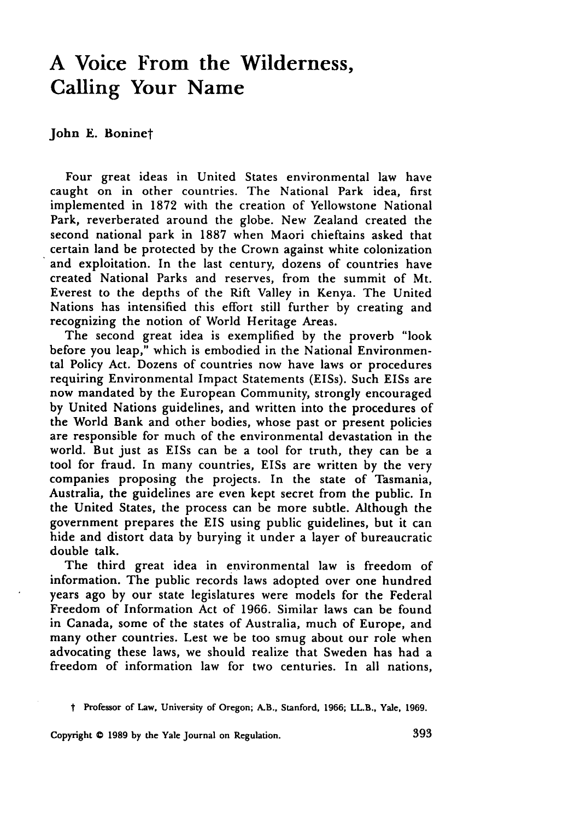## **A Voice From the Wilderness, Calling Your Name**

John **E.** Boninet

Four great ideas in United States environmental law have caught on in other countries. The National Park idea, first implemented in **1872** with the creation of Yellowstone National Park, reverberated around the globe. New Zealand created the second national park in **1887** when Maori chieftains asked that certain land be protected **by** the Crown against white colonization and exploitation. In the last century, dozens of countries have created National Parks and reserves, from the summit of Mt. Everest to the depths of the Rift Valley in Kenya. The United Nations has intensified this effort still further **by** creating and recognizing the notion of World Heritage Areas.

The second great idea is exemplified **by** the proverb "look before you leap," which is embodied in the National Environmental Policy Act. Dozens of countries now have laws or procedures requiring Environmental Impact Statements (EISs). Such EISs are now mandated **by** the European Community, strongly encouraged **by** United Nations guidelines, and written into the procedures of the World Bank and other bodies, whose past or present policies are responsible for much of the environmental devastation in the world. But just as EISs can be a tool for truth, they can be a tool for fraud. In many countries, EISs are written **by** the very companies proposing the projects. In the state of Tasmania, Australia, the guidelines are even kept secret from the public. In the United States, the process can be more subtle. Although the government prepares the EIS using public guidelines, but it can hide and distort data **by** burying it under a layer of bureaucratic double talk.

The third great idea in environmental law is freedom of information. The public records laws adopted over one hundred years ago **by** our state legislatures were models for the Federal Freedom of Information Act of **1966.** Similar laws can be found in Canada, some of the states of Australia, much of Europe, and many other countries. Lest we be too smug about our role when advocating these laws, we should realize that Sweden has had a freedom of information law for two centuries. In all nations,

**Copyright 0 1989 by** the **Yale Journal on Regulation. 393**

t **Professor of Law,** University **of** Oregon; **A.B., Stanford, 1966;** LL.B., **Yale, 1969.**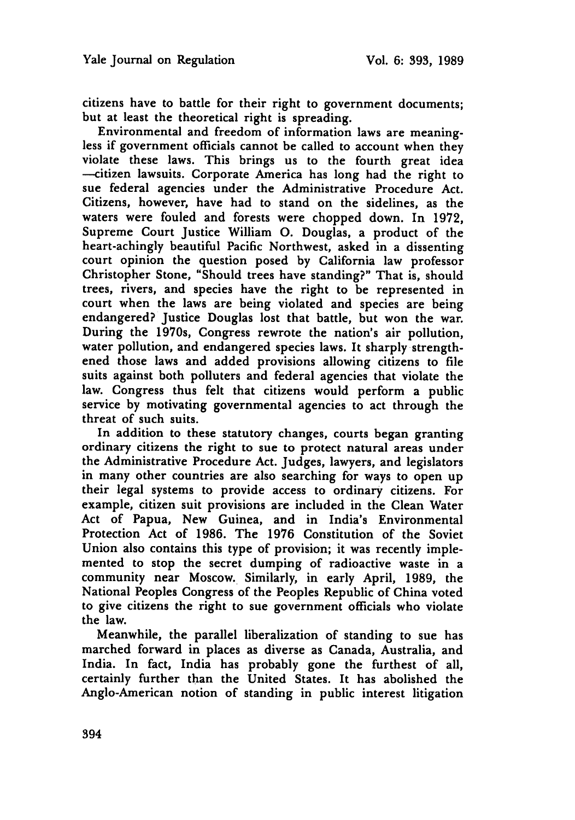citizens have to battle for their right to government documents; but at least the theoretical right is spreading.

Environmental and freedom of information laws are meaningless if government officials cannot be called to account when they violate these laws. This brings us to the fourth great idea -citizen lawsuits. Corporate America has long had the right to sue federal agencies under the Administrative Procedure Act. Citizens, however, have had to stand on the sidelines, as the waters were fouled and forests were chopped down. In **1972,** Supreme Court Justice William **0.** Douglas, a product of the heart-achingly beautiful Pacific Northwest, asked in a dissenting court opinion the question posed **by** California law professor Christopher Stone, "Should trees have standing?" That is, should trees, rivers, and species have the right to be represented in court when the laws are being violated and species are being endangered? Justice Douglas lost that battle, but won the war. During the 1970s, Congress rewrote the nation's air pollution, water pollution, and endangered species laws. It sharply strengthened those laws and added provisions allowing citizens to file suits against both polluters and federal agencies that violate the law. Congress thus felt that citizens would perform a public service **by** motivating governmental agencies to act through the threat of such suits.

In addition to these statutory changes, courts began granting ordinary citizens the right to sue to protect natural areas under the Administrative Procedure Act. Judges, lawyers, and legislators in many other countries are also searching for ways to open up their legal systems to provide access to ordinary citizens. For example, citizen suit provisions are included in the Clean Water Act of Papua, New Guinea, and in India's Environmental Protection Act of **1986.** The **1976** Constitution of the Soviet Union also contains this type of provision; it was recently implemented to stop the secret dumping of radioactive waste in a community near Moscow. Similarly, in early April, **1989,** the National Peoples Congress of the Peoples Republic of China voted to give citizens the right to sue government officials who violate the law.

Meanwhile, the parallel liberalization of standing to sue has marched forward in places as diverse as Canada, Australia, and India. In fact, India has probably gone the furthest of all, certainly further than the United States. It has abolished the Anglo-American notion of standing in public interest litigation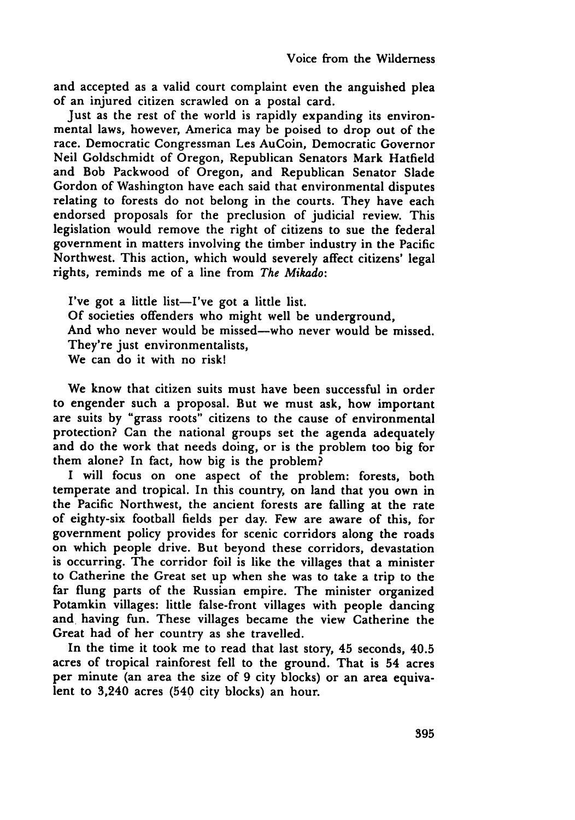and accepted as a valid court complaint even the anguished plea of an injured citizen scrawled on a postal card.

Just as the rest of the world is rapidly expanding its environmental laws, however, America may be poised to drop out of the race. Democratic Congressman Les AuCoin, Democratic Governor Neil Goldschmidt of Oregon, Republican Senators Mark Hatfield and Bob Packwood of Oregon, and Republican Senator Slade Gordon of Washington have each said that environmental disputes relating to forests do not belong in the courts. They have each endorsed proposals for the preclusion of judicial review. This legislation would remove the right of citizens to sue the federal government in matters involving the timber industry in the Pacific Northwest. This action, which would severely affect citizens' legal rights, reminds me of a line from *The Mikado:*

I've got a little list-I've got a little list. **Of** societies offenders who might well be underground, And who never would be missed-who never would be missed. They're just environmentalists. We can do it with no risk!

We know that citizen suits must have been successful in order to engender such a proposal. But we must ask, how important are suits **by** "grass roots" citizens to the cause of environmental protection? Can the national groups set the agenda adequately and do the work that needs doing, or is the problem too big for them alone? In fact, how big is the problem?

I will focus on one aspect of the problem: forests, both temperate and tropical. In this country, on land that you own in the Pacific Northwest, the ancient forests are falling at the rate of eighty-six football fields per day. Few are aware of this, for government policy provides for scenic corridors along the roads on which people drive. But beyond these corridors, devastation is occurring. The corridor foil is like the villages that a minister to Catherine the Great set up when she was to take a trip to the far flung parts of the Russian empire. The minister organized Potamkin villages: little false-front villages with people dancing and having fun. These villages became the view Catherine the Great had of her country as she travelled.

In the time it took me to read that last story, 45 seconds, 40.5 acres of tropical rainforest fell to the ground. That is 54 acres per minute (an area the size of **9** city blocks) or an area equivalent to 3,240 acres (540 city blocks) an hour.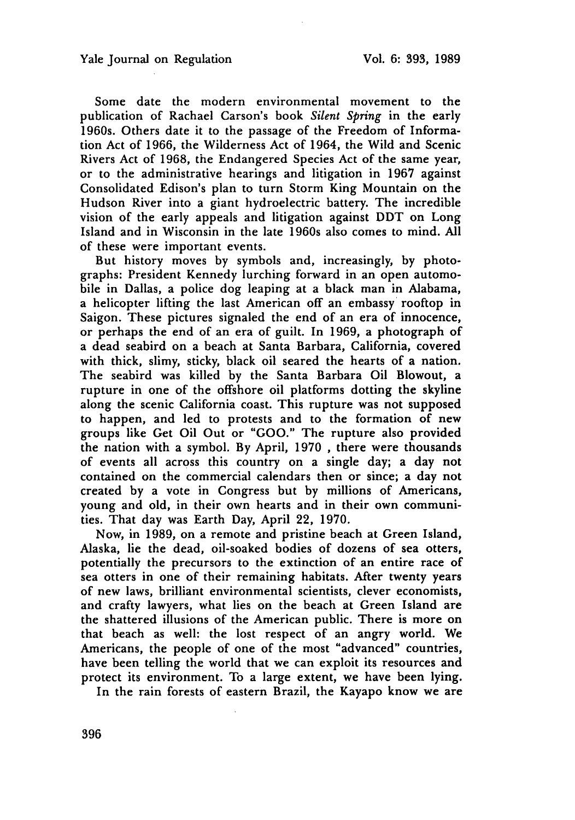Some date the modern environmental movement to the publication of Rachael Carson's book *Silent Spring* in the early 1960s. Others date it to the passage of the Freedom of Information Act of 1966, the Wilderness Act of 1964, the Wild and Scenic Rivers Act of 1968, the Endangered Species Act of the same year, or to the administrative hearings and litigation in 1967 against Consolidated Edison's plan to turn Storm King Mountain on the Hudson River into a giant hydroelectric battery. The incredible vision of the early appeals and litigation against DDT on Long Island and in Wisconsin in the late 1960s also comes to mind. All of these were important events.

But history moves by symbols and, increasingly, by photographs: President Kennedy lurching forward in an open automobile in Dallas, a police dog leaping at a black man in Alabama, a helicopter lifting the last American off an embassy rooftop in Saigon. These pictures signaled the end of an era of innocence, or perhaps the end of an era of guilt. In 1969, a photograph of a dead seabird on a beach at Santa Barbara, California, covered with thick, slimy, sticky, black oil seared the hearts of a nation. The seabird was killed by the Santa Barbara Oil Blowout, a rupture in one of the offshore oil platforms dotting the skyline along the scenic California coast. This rupture was not supposed to happen, and led to protests and to the formation of new groups like Get Oil Out or "GOO." The rupture also provided the nation with a symbol. By April, 1970 , there were thousands of events all across this country on a single day; a day not contained on the commercial calendars then or since; a day not created by a vote in Congress but by millions of Americans, young and old, in their own hearts and in their own communities. That day was Earth Day, April 22, 1970.

Now, in 1989, on a remote and pristine beach at Green Island, Alaska, lie the dead, oil-soaked bodies of dozens of sea otters, potentially the precursors to the extinction of an entire race of sea otters in one of their remaining habitats. After twenty years of new laws, brilliant environmental scientists, clever economists, and crafty lawyers, what lies on the beach at Green Island are the shattered illusions of the American public. There is more on that beach as well: the lost respect of an angry world. We Americans, the people of one of the most "advanced" countries, have been telling the world that we can exploit its resources and protect its environment. To a large extent, we have been lying.

In the rain forests of eastern Brazil, the Kayapo know we are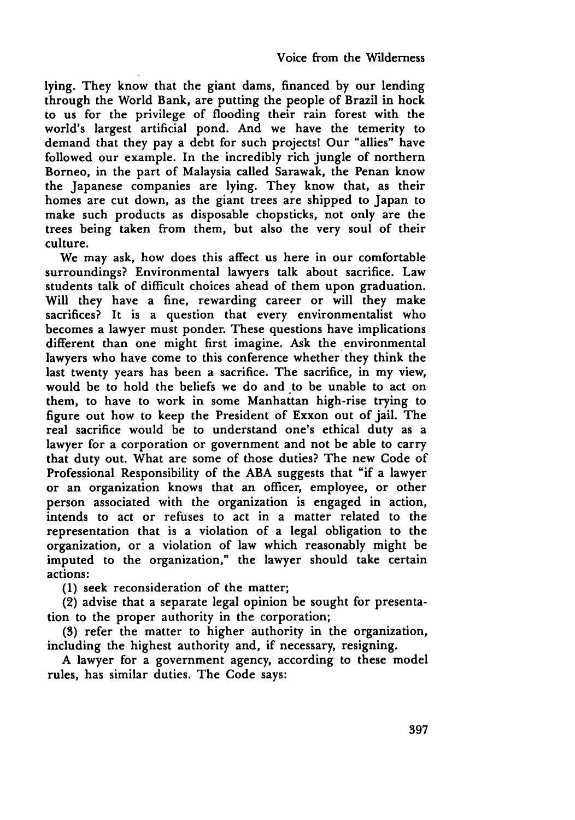lying. They know that the giant dams, financed **by** our lending through the World Bank, are putting the people of Brazil in hock to us for the privilege of flooding their rain forest with the world's largest artificial pond. And we have the temerity to demand that they pay a debt for such projects! Our "allies" have followed our example. In the incredibly rich jungle of northern Borneo, in the part of Malaysia called Sarawak, the Penan know the Japanese companies are lying. They know that, as their homes are cut down, as the giant trees are shipped to Japan to make such products as disposable chopsticks, not only are the trees being taken from them, but also the very soul of their culture.

We may ask, how does this affect us here in our comfortable surroundings? Environmental lawyers talk about sacrifice. Law students talk of difficult choices ahead of them upon graduation. Will they have a fine, rewarding career or will they make sacrifices? It is a question that every environmentalist who becomes a lawyer must ponder. These questions have implications different than one might first imagine. Ask the environmental lawyers who have come to this conference whether they think the last twenty years has been a sacrifice. The sacrifice, in my view, would be to hold the beliefs we do and to be unable to act on them, to have to work in some Manhattan high-rise trying to figure out how to keep the President of Exxon out of jail. The real sacrifice would be to understand one's ethical duty as a lawyer for a corporation or government and not be able to carry that duty out. What are some of those duties? The new Code of Professional Responsibility of the **ABA** suggests that "if a lawyer or an organization knows that an officer, employee, or other person associated with the organization is engaged in action, intends to act or refuses to act in a matter related to the representation that is a violation of a legal obligation to the organization, or a violation of law which reasonably might be imputed to the organization," the lawyer should take certain actions:

**(1)** seek reconsideration of the matter;

(2) advise that a separate legal opinion be sought for presentation to the proper authority in the corporation;

**(3)** refer the matter to higher authority in the organization, including the highest authority and, if necessary, resigning.

**A** lawyer for a government agency, according to these model rules, has similar duties. The Code says: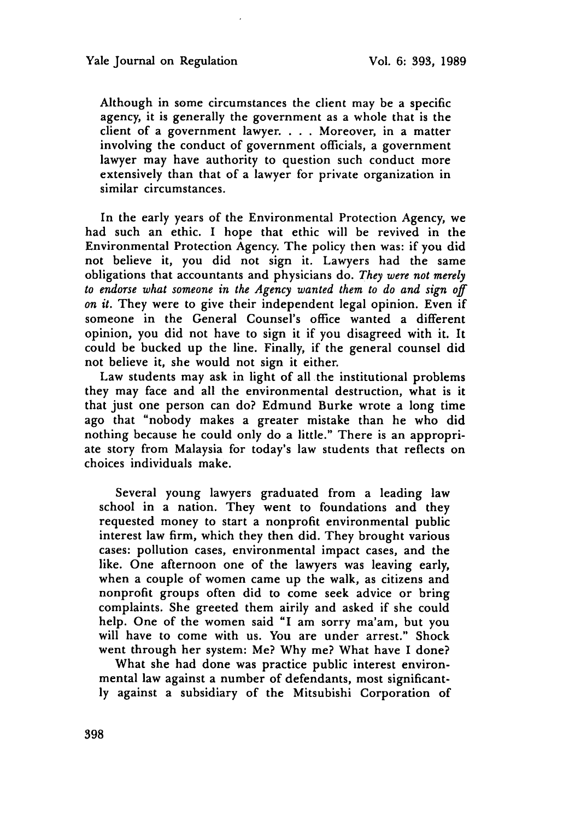Although in some circumstances the client may be a specific agency, it is generally the government as a whole that is the client of a government lawyer. **. .** . Moreover, in a matter involving the conduct of government officials, a government lawyer may have authority to question such conduct more extensively than that of a lawyer for private organization in similar circumstances.

In the early years of the Environmental Protection Agency, we had such an ethic. I hope that ethic will be revived in the Environmental Protection Agency. The policy then was: if you did not believe it, you did not sign it. Lawyers had the same obligations that accountants and physicians do. *They were not merely to endorse what someone in the Agency wanted them to do and sign off on it.* They were to give their independent legal opinion. Even if someone in the General Counsel's office wanted a different opinion, you did not have to sign it if you disagreed with it. It could be bucked up the line. Finally, if the general counsel did not believe it, she would not sign it either.

Law students may ask in light of all the institutional problems they may face and all the environmental destruction, what is it that just one person can do? Edmund Burke wrote a long time ago that "nobody makes a greater mistake than he who did nothing because he could only do a little." There is an appropriate story from Malaysia for today's law students that reflects on choices individuals make.

Several young lawyers graduated from a leading law school in a nation. They went to foundations and they requested money to start a nonprofit environmental public interest law firm, which they then did. They brought various cases: pollution cases, environmental impact cases, and the like. One afternoon one of the lawyers was leaving early, when a couple of women came up the walk, as citizens and nonprofit groups often did to come seek advice or bring complaints. She greeted them airily and asked if she could help. One of the women said "I am sorry ma'am, but you will have to come with us. You are under arrest." Shock went through her system: Me? Why me? What have I done?

What she had done was practice public interest environmental law against a number of defendants, most significantly against a subsidiary of the Mitsubishi Corporation of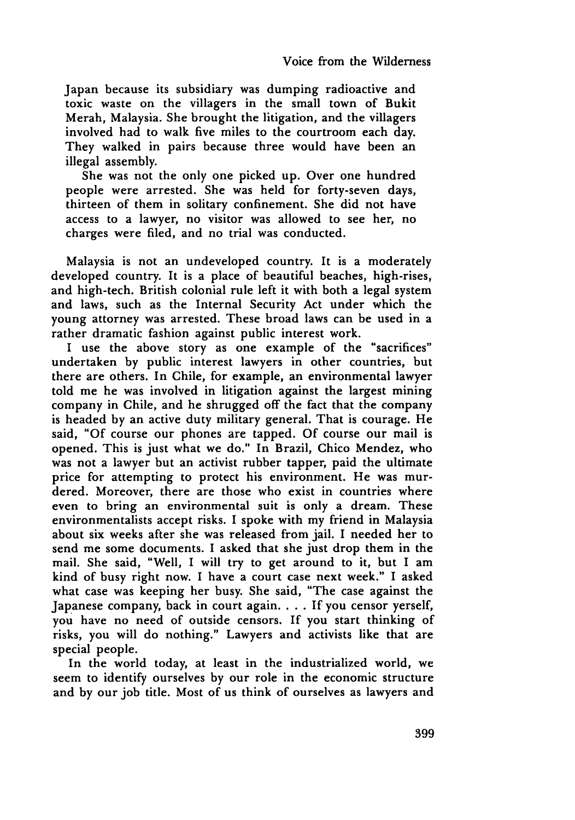Japan because its subsidiary was dumping radioactive and toxic waste on the villagers in the small town of Bukit Merah, Malaysia. She brought the litigation, and the villagers involved had to walk five miles to the courtroom each day. They walked in pairs because three would have been an illegal assembly.

She was not the only one picked up. Over one hundred people were arrested. She was held for forty-seven days, thirteen of them in solitary confinement. She did not have access to a lawyer, no visitor was allowed to see her, no charges were filed, and no trial was conducted.

Malaysia is not an undeveloped country. It is a moderately developed country. It is a place of beautiful beaches, high-rises, and high-tech. British colonial rule left it with both a legal system and laws, such as the Internal Security Act under which the young attorney was arrested. These broad laws can be used in a rather dramatic fashion against public interest work.

**I** use the above story as one example of the "sacrifices" undertaken **by** public interest lawyers in other countries, but there are others. In Chile, for example, an environmental lawyer told me he was involved in litigation against the largest mining company in Chile, and he shrugged off the fact that the company is headed **by** an active duty military general. That is courage. He said, **"Of** course our phones are tapped. **Of** course our mail is opened. This is just what we do." In Brazil, Chico Mendez, who was not a lawyer but an activist rubber tapper, paid the ultimate price for attempting to protect his environment. He was murdered. Moreover, there are those who exist in countries where even to bring an environmental suit is only a dream. These environmentalists accept risks. I spoke with my friend in Malaysia about six weeks after she was released from jail. I needed her to send me some documents. I asked that she just drop them in the mail. She said, "Well, I will try to get around to it, but I am kind of busy right now. **I** have a court case next week." I asked what case was keeping her busy. She said, "The case against the Japanese company, back in court again **....** If you censor yerself, you have no need of outside censors. If you start thinking of risks, you will do nothing." Lawyers and activists like that are special people.

In the world today, at least in the industrialized world, we seem to identify ourselves **by** our role in the economic structure and **by** our job title. Most of us think of ourselves as lawyers and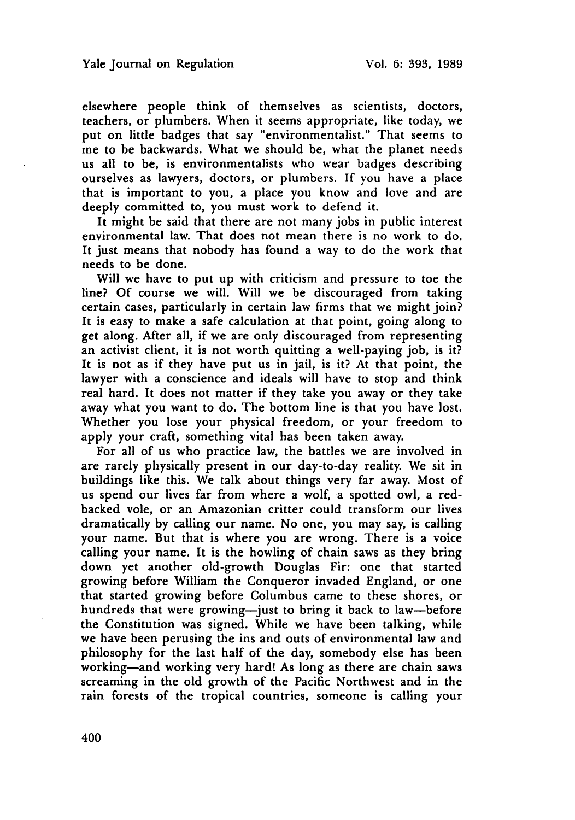elsewhere people think of themselves as scientists, doctors, teachers, or plumbers. When it seems appropriate, like today, we put on little badges that say "environmentalist." That seems to me to be backwards. What we should be, what the planet needs us all to be, is environmentalists who wear badges describing ourselves as lawyers, doctors, or plumbers. If you have a place that is important to you, a place you know and love and are deeply committed to, you must work to defend it.

It might be said that there are not many jobs in public interest environmental law. That does not mean there is no work to do. It just means that nobody has found a way to do the work that needs to be done.

Will we have to put up with criticism and pressure to toe the line? Of course we will. Will we be discouraged from taking certain cases, particularly in certain law firms that we might join? It is easy to make a safe calculation at that point, going along to get along. After all, if we are only discouraged from representing an activist client, it is not worth quitting a well-paying job, is it? It is not as if they have put us in jail, is it? At that point, the lawyer with a conscience and ideals will have to stop and think real hard. It does not matter if they take you away or they take away what you want to do. The bottom line is that you have lost. Whether you lose your physical freedom, or your freedom to apply your craft, something vital has been taken away.

For all of us who practice law, the battles we are involved in are rarely physically present in our day-to-day reality. We sit in buildings like this. We talk about things very far away. Most of us spend our lives far from where a wolf, a spotted owl, a redbacked vole, or an Amazonian critter could transform our lives dramatically by calling our name. No one, you may say, is calling your name. But that is where you are wrong. There is a voice calling your name. It is the howling of chain saws as they bring down yet another old-growth Douglas Fir: one that started growing before William the Conqueror invaded England, or one that started growing before Columbus came to these shores, or hundreds that were growing-just to bring it back to law-before the Constitution was signed. While we have been talking, while we have been perusing the ins and outs of environmental law and philosophy for the last half of the day, somebody else has been working-and working very hardl As long as there are chain saws screaming in the old growth of the Pacific Northwest and in the rain forests of the tropical countries, someone is calling your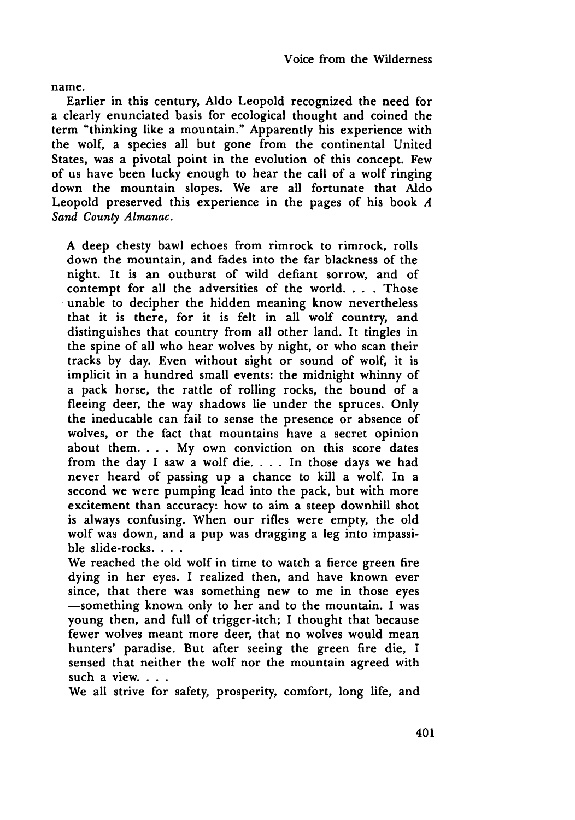name.

Earlier in this century, Aldo Leopold recognized the need for a clearly enunciated basis for ecological thought and coined the term "thinking like a mountain." Apparently his experience with the wolf, a species all but gone from the continental United States, was a pivotal point in the evolution of this concept. Few of us have been lucky enough to hear the call of a wolf ringing down the mountain slopes. We are all fortunate that Aldo Leopold preserved this experience in the pages of his book *A Sand County Almanac.*

A deep chesty bawl echoes from rimrock to rimrock, rolls down the mountain, and fades into the far blackness of the night. It is an outburst of wild defiant sorrow, and of contempt for all the adversities of the world. . **.** . Those .unable to decipher the hidden meaning know nevertheless that it is there, for it is felt in all wolf country, and distinguishes that country from all other land. It tingles in the spine of all who hear wolves by night, or who scan their tracks by day. Even without sight or sound of wolf, it is implicit in a hundred small events: the midnight whinny of a pack horse, the rattle of rolling rocks, the bound of a fleeing deer, the way shadows lie under the spruces. Only the ineducable can fail to sense the presence or absence of wolves, or the fact that mountains have a secret opinion about them. . **.** . My own conviction on this score dates from the day I saw a wolf die. . **.** . In those days we had never heard of passing up a chance to kill a wolf. In a second we were pumping lead into the pack, but with more excitement than accuracy: how to aim a steep downhill shot is always confusing. When our rifles were empty, the old wolf was down, and a pup was dragging a leg into impassible slide-rocks. **...**

We reached the old wolf in time to watch a fierce green fire dying in her eyes. I realized then, and have known ever since, that there was something new to me in those eyes -something known only to her and to the mountain. I was young then, and full of trigger-itch; I thought that because fewer wolves meant more deer, that no wolves would mean hunters' paradise. But after seeing the green fire die, i sensed that neither the wolf nor the mountain agreed with such a view. . **..**

We all strive for safety, prosperity, comfort, long life, and